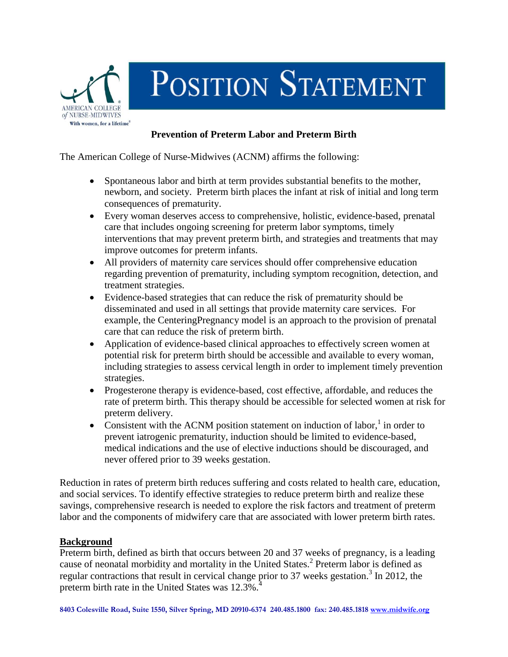

## POSITION STATEMENT

## **Prevention of Preterm Labor and Preterm Birth**

The American College of Nurse-Midwives (ACNM) affirms the following:

- Spontaneous labor and birth at term provides substantial benefits to the mother, newborn, and society. Preterm birth places the infant at risk of initial and long term consequences of prematurity.
- Every woman deserves access to comprehensive, holistic, evidence-based, prenatal care that includes ongoing screening for preterm labor symptoms, timely interventions that may prevent preterm birth, and strategies and treatments that may improve outcomes for preterm infants.
- All providers of maternity care services should offer comprehensive education regarding prevention of prematurity, including symptom recognition, detection, and treatment strategies.
- Evidence-based strategies that can reduce the risk of prematurity should be disseminated and used in all settings that provide maternity care services. For example, the CenteringPregnancy model is an approach to the provision of prenatal care that can reduce the risk of preterm birth.
- Application of evidence-based clinical approaches to effectively screen women at potential risk for preterm birth should be accessible and available to every woman, including strategies to assess cervical length in order to implement timely prevention strategies.
- Progesterone therapy is evidence-based, cost effective, affordable, and reduces the rate of preterm birth. This therapy should be accessible for selected women at risk for preterm delivery.
- Consistent with the ACNM position statement on induction of labor, $<sup>1</sup>$  in order to</sup> prevent iatrogenic prematurity, induction should be limited to evidence-based, medical indications and the use of elective inductions should be discouraged, and never offered prior to 39 weeks gestation.

Reduction in rates of preterm birth reduces suffering and costs related to health care, education, and social services. To identify effective strategies to reduce preterm birth and realize these savings, comprehensive research is needed to explore the risk factors and treatment of preterm labor and the components of midwifery care that are associated with lower preterm birth rates.

## **Background**

Preterm birth, defined as birth that occurs between 20 and 37 weeks of pregnancy, is a leading cause of neonatal morbidity and mortality in the United States. <sup>2</sup> Preterm labor is defined as regular contractions that result in cervical change prior to 37 weeks gestation.<sup>3</sup> In 2012, the preterm birth rate in the United States was 12.3%.<sup>4</sup>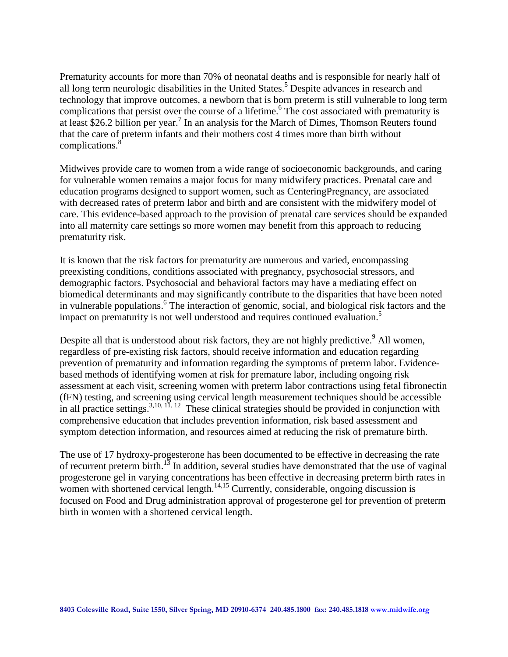Prematurity accounts for more than 70% of neonatal deaths and is responsible for nearly half of all long term neurologic disabilities in the United States.<sup>5</sup> Despite advances in research and technology that improve outcomes, a newborn that is born preterm is still vulnerable to long term complications that persist over the course of a lifetime.<sup>6</sup> The cost associated with prematurity is at least \$26.2 billion per year.<sup>7</sup> In an analysis for the March of Dimes, Thomson Reuters found that the care of preterm infants and their mothers cost 4 times more than birth without complications. 8

Midwives provide care to women from a wide range of socioeconomic backgrounds, and caring for vulnerable women remains a major focus for many midwifery practices. Prenatal care and education programs designed to support women, such as CenteringPregnancy, are associated with decreased rates of preterm labor and birth and are consistent with the midwifery model of care. This evidence-based approach to the provision of prenatal care services should be expanded into all maternity care settings so more women may benefit from this approach to reducing prematurity risk.

It is known that the risk factors for prematurity are numerous and varied, encompassing preexisting conditions, conditions associated with pregnancy, psychosocial stressors, and demographic factors. Psychosocial and behavioral factors may have a mediating effect on biomedical determinants and may significantly contribute to the disparities that have been noted in vulnerable populations. <sup>6</sup> The interaction of genomic, social, and biological risk factors and the impact on prematurity is not well understood and requires continued evaluation. 5

Despite all that is understood about risk factors, they are not highly predictive.<sup>9</sup> All women, regardless of pre-existing risk factors, should receive information and education regarding prevention of prematurity and information regarding the symptoms of preterm labor. Evidencebased methods of identifying women at risk for premature labor, including ongoing risk assessment at each visit, screening women with preterm labor contractions using fetal fibronectin (fFN) testing, and screening using cervical length measurement techniques should be accessible in all practice settings.<sup>3,10, 11, 12</sup> These clinical strategies should be provided in conjunction with comprehensive education that includes prevention information, risk based assessment and symptom detection information, and resources aimed at reducing the risk of premature birth.

The use of 17 hydroxy-progesterone has been documented to be effective in decreasing the rate of recurrent preterm birth.<sup>13</sup> In addition, several studies have demonstrated that the use of vaginal progesterone gel in varying concentrations has been effective in decreasing preterm birth rates in women with shortened cervical length.<sup>14,15</sup> Currently, considerable, ongoing discussion is focused on Food and Drug administration approval of progesterone gel for prevention of preterm birth in women with a shortened cervical length.